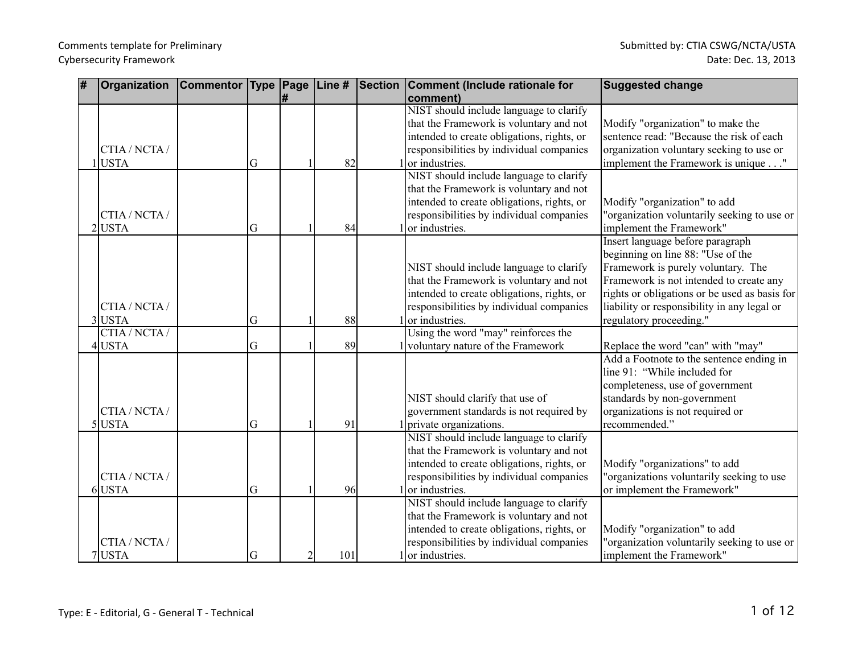| ∦ | Organization  | <b>Commentor Type Page</b> |   |                | Line # | <b>Section</b> | Comment (Include rationale for             | <b>Suggested change</b>                       |
|---|---------------|----------------------------|---|----------------|--------|----------------|--------------------------------------------|-----------------------------------------------|
|   |               |                            |   | #              |        |                | comment)                                   |                                               |
|   |               |                            |   |                |        |                | NIST should include language to clarify    |                                               |
|   |               |                            |   |                |        |                | that the Framework is voluntary and not    | Modify "organization" to make the             |
|   |               |                            |   |                |        |                | intended to create obligations, rights, or | sentence read: "Because the risk of each      |
|   | CTIA / NCTA / |                            |   |                |        |                | responsibilities by individual companies   | organization voluntary seeking to use or      |
|   | <b>USTA</b>   |                            | G |                | 82     |                | or industries.                             | implement the Framework is unique"            |
|   |               |                            |   |                |        |                | NIST should include language to clarify    |                                               |
|   |               |                            |   |                |        |                | that the Framework is voluntary and not    |                                               |
|   |               |                            |   |                |        |                | intended to create obligations, rights, or | Modify "organization" to add                  |
|   | CTIA/NCTA/    |                            |   |                |        |                | responsibilities by individual companies   | "organization voluntarily seeking to use or   |
|   | $2$ USTA      |                            | G |                | 84     |                | or industries.                             | implement the Framework"                      |
|   |               |                            |   |                |        |                |                                            | Insert language before paragraph              |
|   |               |                            |   |                |        |                |                                            | beginning on line 88: "Use of the             |
|   |               |                            |   |                |        |                | NIST should include language to clarify    | Framework is purely voluntary. The            |
|   |               |                            |   |                |        |                | that the Framework is voluntary and not    | Framework is not intended to create any       |
|   |               |                            |   |                |        |                | intended to create obligations, rights, or | rights or obligations or be used as basis for |
|   | CTIA / NCTA / |                            |   |                |        |                | responsibilities by individual companies   | liability or responsibility in any legal or   |
|   | 3USTA         |                            | G |                | 88     |                | or industries.                             | regulatory proceeding."                       |
|   | CTIA / NCTA / |                            |   |                |        |                | Using the word "may" reinforces the        |                                               |
|   | 4USTA         |                            | G |                | 89     |                | 1 voluntary nature of the Framework        | Replace the word "can" with "may"             |
|   |               |                            |   |                |        |                |                                            | Add a Footnote to the sentence ending in      |
|   |               |                            |   |                |        |                |                                            | line 91: "While included for                  |
|   |               |                            |   |                |        |                |                                            | completeness, use of government               |
|   |               |                            |   |                |        |                | NIST should clarify that use of            | standards by non-government                   |
|   | CTIA / NCTA / |                            |   |                |        |                | government standards is not required by    | organizations is not required or              |
|   | $5$ USTA      |                            | G |                | 91     |                | private organizations.                     | recommended."                                 |
|   |               |                            |   |                |        |                | NIST should include language to clarify    |                                               |
|   |               |                            |   |                |        |                | that the Framework is voluntary and not    |                                               |
|   |               |                            |   |                |        |                | intended to create obligations, rights, or | Modify "organizations" to add                 |
|   | CTIA / NCTA / |                            |   |                |        |                | responsibilities by individual companies   | "organizations voluntarily seeking to use     |
|   | $6$ USTA      |                            | G |                | 96     |                | $1$ or industries.                         | or implement the Framework"                   |
|   |               |                            |   |                |        |                | NIST should include language to clarify    |                                               |
|   |               |                            |   |                |        |                | that the Framework is voluntary and not    |                                               |
|   |               |                            |   |                |        |                | intended to create obligations, rights, or | Modify "organization" to add                  |
|   | CTIA / NCTA / |                            |   |                |        |                | responsibilities by individual companies   | "organization voluntarily seeking to use or   |
|   | 7USTA         |                            | G | $\overline{2}$ | 101    |                | 1 or industries.                           | implement the Framework"                      |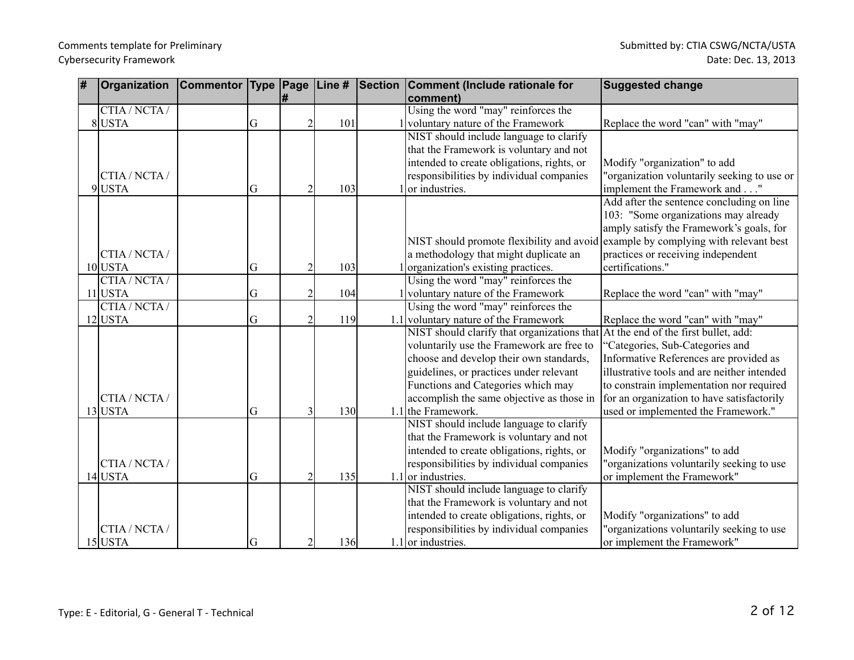| # | Organization  | <b>Commentor Type Page</b> |   |                | Line # | Section | Comment (Include rationale for              | <b>Suggested change</b>                     |
|---|---------------|----------------------------|---|----------------|--------|---------|---------------------------------------------|---------------------------------------------|
|   |               |                            |   | l#             |        |         | comment)                                    |                                             |
|   | CTIA / NCTA / |                            |   |                |        |         | Using the word "may" reinforces the         |                                             |
|   | 8USTA         |                            | G | $\overline{2}$ | 101    |         | voluntary nature of the Framework           | Replace the word "can" with "may"           |
|   |               |                            |   |                |        |         | NIST should include language to clarify     |                                             |
|   |               |                            |   |                |        |         | that the Framework is voluntary and not     |                                             |
|   |               |                            |   |                |        |         | intended to create obligations, rights, or  | Modify "organization" to add                |
|   | CTIA / NCTA / |                            |   |                |        |         | responsibilities by individual companies    | "organization voluntarily seeking to use or |
|   | 9USTA         |                            | G | $\overline{2}$ | 103    |         | $1$ or industries.                          | implement the Framework and"                |
|   |               |                            |   |                |        |         |                                             | Add after the sentence concluding on line   |
|   |               |                            |   |                |        |         |                                             | 103: "Some organizations may already        |
|   |               |                            |   |                |        |         |                                             | amply satisfy the Framework's goals, for    |
|   |               |                            |   |                |        |         | NIST should promote flexibility and avoid   | example by complying with relevant best     |
|   | CTIA / NCTA / |                            |   |                |        |         | a methodology that might duplicate an       | practices or receiving independent          |
|   | $10$ USTA     |                            | G | $\overline{2}$ | 103    |         | organization's existing practices.          | certifications."                            |
|   | CTIA / NCTA / |                            |   |                |        |         | Using the word "may" reinforces the         |                                             |
|   | $11$ USTA     |                            | G | $\overline{2}$ | 104    |         | 1 voluntary nature of the Framework         | Replace the word "can" with "may"           |
|   | CTIA/NCTA/    |                            |   |                |        |         | Using the word "may" reinforces the         |                                             |
|   | $12$ USTA     |                            | G | $\overline{2}$ | 119    |         | 1.1 voluntary nature of the Framework       | Replace the word "can" with "may"           |
|   |               |                            |   |                |        |         | NIST should clarify that organizations that | At the end of the first bullet, add:        |
|   |               |                            |   |                |        |         | voluntarily use the Framework are free to   | 'Categories, Sub-Categories and             |
|   |               |                            |   |                |        |         | choose and develop their own standards,     | Informative References are provided as      |
|   |               |                            |   |                |        |         | guidelines, or practices under relevant     | illustrative tools and are neither intended |
|   |               |                            |   |                |        |         | Functions and Categories which may          | to constrain implementation nor required    |
|   | CTIA / NCTA / |                            |   |                |        |         | accomplish the same objective as those in   | for an organization to have satisfactorily  |
|   | $13$ USTA     |                            | G | 3              | 130    |         | $1.1$ the Framework.                        | used or implemented the Framework."         |
|   |               |                            |   |                |        |         | NIST should include language to clarify     |                                             |
|   |               |                            |   |                |        |         | that the Framework is voluntary and not     |                                             |
|   |               |                            |   |                |        |         | intended to create obligations, rights, or  | Modify "organizations" to add               |
|   | CTIA / NCTA / |                            |   |                |        |         | responsibilities by individual companies    | "organizations voluntarily seeking to use   |
|   | $14$ USTA     |                            | G | $\overline{2}$ | 135    |         | $1.1$ or industries.                        | or implement the Framework"                 |
|   |               |                            |   |                |        |         | NIST should include language to clarify     |                                             |
|   |               |                            |   |                |        |         | that the Framework is voluntary and not     |                                             |
|   |               |                            |   |                |        |         | intended to create obligations, rights, or  | Modify "organizations" to add               |
|   | CTIA / NCTA / |                            |   |                |        |         | responsibilities by individual companies    | "organizations voluntarily seeking to use   |
|   | $15$ USTA     |                            | G | $\overline{2}$ | 136    |         | $1.1$ or industries.                        | or implement the Framework"                 |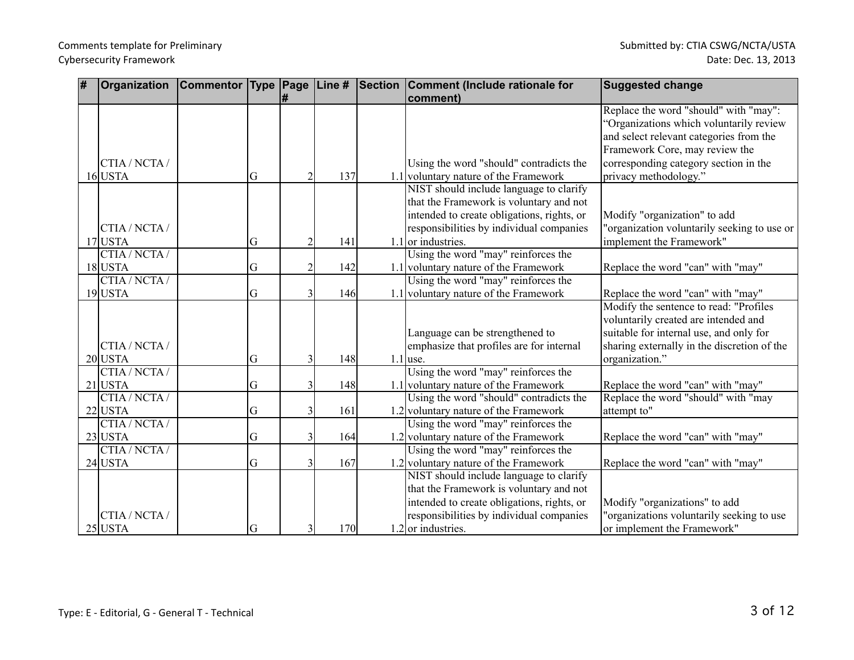| # | Organization               | Commentor Type Page |    | #              |     | Line # Section Comment (Include rationale for<br>comment)                    | <b>Suggested change</b>                                                     |
|---|----------------------------|---------------------|----|----------------|-----|------------------------------------------------------------------------------|-----------------------------------------------------------------------------|
|   |                            |                     |    |                |     |                                                                              | Replace the word "should" with "may":                                       |
|   |                            |                     |    |                |     |                                                                              | 'Organizations which voluntarily review                                     |
|   |                            |                     |    |                |     |                                                                              | and select relevant categories from the                                     |
|   |                            |                     |    |                |     |                                                                              | Framework Core, may review the                                              |
|   | CTIA / NCTA /              |                     |    |                |     | Using the word "should" contradicts the                                      | corresponding category section in the                                       |
|   | $16$ USTA                  |                     | G  | $\mathfrak{D}$ | 137 | 1.1 voluntary nature of the Framework                                        | privacy methodology."                                                       |
|   |                            |                     |    |                |     | NIST should include language to clarify                                      |                                                                             |
|   |                            |                     |    |                |     | that the Framework is voluntary and not                                      |                                                                             |
|   |                            |                     |    |                |     | intended to create obligations, rights, or                                   | Modify "organization" to add                                                |
|   | CTIA / NCTA /              |                     |    |                |     | responsibilities by individual companies                                     | "organization voluntarily seeking to use or                                 |
|   | $17$ USTA<br>CTIA / NCTA / |                     | G  | 2              | 141 | $1.1$ or industries.                                                         | implement the Framework"                                                    |
|   |                            |                     |    | $\overline{2}$ |     | Using the word "may" reinforces the                                          |                                                                             |
|   | $18$ USTA<br>CTIA/NCTA/    |                     | G  |                | 142 | 1.1 voluntary nature of the Framework<br>Using the word "may" reinforces the | Replace the word "can" with "may"                                           |
|   | $19$ USTA                  |                     | G  |                | 146 | 1.1 voluntary nature of the Framework                                        |                                                                             |
|   |                            |                     |    |                |     |                                                                              | Replace the word "can" with "may"<br>Modify the sentence to read: "Profiles |
|   |                            |                     |    |                |     |                                                                              | voluntarily created are intended and                                        |
|   |                            |                     |    |                |     | Language can be strengthened to                                              | suitable for internal use, and only for                                     |
|   | CTIA / NCTA /              |                     |    |                |     | emphasize that profiles are for internal                                     | sharing externally in the discretion of the                                 |
|   | $20$ USTA                  |                     | G  | $\overline{3}$ | 148 | $1.1$ use.                                                                   | organization."                                                              |
|   | CTIA/NCTA/                 |                     |    |                |     | Using the word "may" reinforces the                                          |                                                                             |
|   | $21$ USTA                  |                     | G  | $\overline{3}$ | 148 | 1.1 voluntary nature of the Framework                                        | Replace the word "can" with "may"                                           |
|   | CTIA / NCTA /              |                     |    |                |     | Using the word "should" contradicts the                                      | Replace the word "should" with "may                                         |
|   | $22$ USTA                  |                     | G  | $\overline{3}$ | 161 | 1.2 voluntary nature of the Framework                                        | attempt to"                                                                 |
|   | CTIA/NCTA/                 |                     |    |                |     | Using the word "may" reinforces the                                          |                                                                             |
|   | $23$ USTA                  |                     | G  | $\overline{3}$ | 164 | 1.2 voluntary nature of the Framework                                        | Replace the word "can" with "may"                                           |
|   | CTIA / NCTA /              |                     |    |                |     | Using the word "may" reinforces the                                          |                                                                             |
|   | $24$ USTA                  |                     | G  | $\overline{3}$ | 167 | 1.2 voluntary nature of the Framework                                        | Replace the word "can" with "may"                                           |
|   |                            |                     |    |                |     | NIST should include language to clarify                                      |                                                                             |
|   |                            |                     |    |                |     | that the Framework is voluntary and not                                      |                                                                             |
|   |                            |                     |    |                |     | intended to create obligations, rights, or                                   | Modify "organizations" to add                                               |
|   | CTIA / NCTA /              |                     |    |                |     | responsibilities by individual companies                                     | "organizations voluntarily seeking to use                                   |
|   | $25$ USTA                  |                     | lG | $\overline{3}$ | 170 | $1.2$ or industries.                                                         | or implement the Framework"                                                 |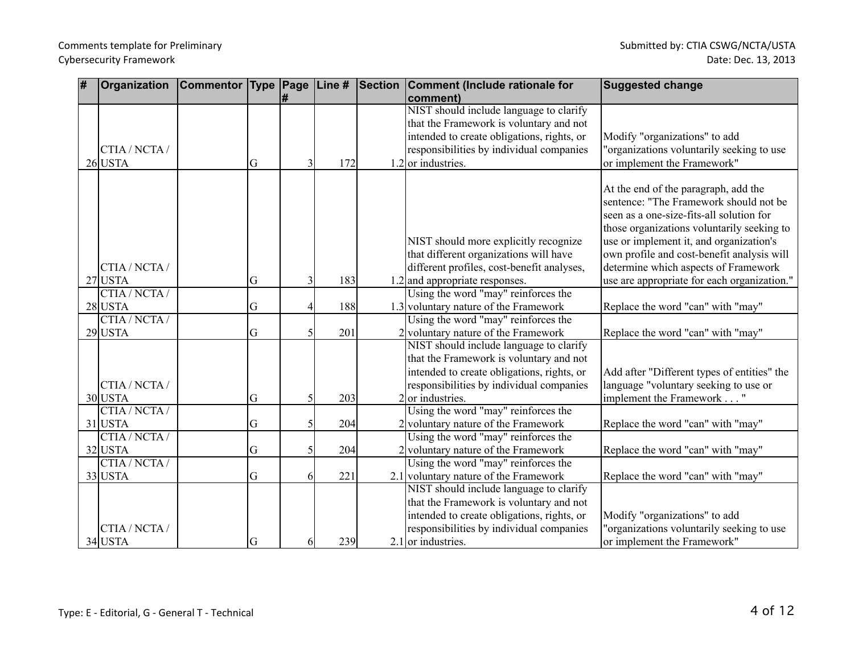| # | Organization  | <b>Commentor Type Page</b> |    |                |     | Line # Section | Comment (Include rationale for             | <b>Suggested change</b>                     |
|---|---------------|----------------------------|----|----------------|-----|----------------|--------------------------------------------|---------------------------------------------|
|   |               |                            |    | #              |     |                | comment)                                   |                                             |
|   |               |                            |    |                |     |                | NIST should include language to clarify    |                                             |
|   |               |                            |    |                |     |                | that the Framework is voluntary and not    |                                             |
|   |               |                            |    |                |     |                | intended to create obligations, rights, or | Modify "organizations" to add               |
|   | CTIA / NCTA / |                            |    |                |     |                | responsibilities by individual companies   | "organizations voluntarily seeking to use   |
|   | $26$ USTA     |                            | G  | 3 <sub>l</sub> | 172 |                | $1.2$ or industries.                       | or implement the Framework"                 |
|   |               |                            |    |                |     |                |                                            |                                             |
|   |               |                            |    |                |     |                |                                            | At the end of the paragraph, add the        |
|   |               |                            |    |                |     |                |                                            | sentence: "The Framework should not be      |
|   |               |                            |    |                |     |                |                                            | seen as a one-size-fits-all solution for    |
|   |               |                            |    |                |     |                |                                            | those organizations voluntarily seeking to  |
|   |               |                            |    |                |     |                | NIST should more explicitly recognize      | use or implement it, and organization's     |
|   |               |                            |    |                |     |                | that different organizations will have     | own profile and cost-benefit analysis will  |
|   | CTIA / NCTA / |                            |    |                |     |                | different profiles, cost-benefit analyses, | determine which aspects of Framework        |
|   | $27$ USTA     |                            | G  | $\overline{3}$ | 183 |                | $1.2$ and appropriate responses.           | use are appropriate for each organization." |
|   | CTIA/NCTA/    |                            |    |                |     |                | Using the word "may" reinforces the        |                                             |
|   | $28$ USTA     |                            | G  | 4              | 188 |                | 1.3 voluntary nature of the Framework      | Replace the word "can" with "may"           |
|   | CTIA / NCTA / |                            |    |                |     |                | Using the word "may" reinforces the        |                                             |
|   | $29$ USTA     |                            | G  | $\mathcal{S}$  | 201 |                | 2 voluntary nature of the Framework        | Replace the word "can" with "may"           |
|   |               |                            |    |                |     |                | NIST should include language to clarify    |                                             |
|   |               |                            |    |                |     |                | that the Framework is voluntary and not    |                                             |
|   |               |                            |    |                |     |                | intended to create obligations, rights, or | Add after "Different types of entities" the |
|   | CTIA / NCTA / |                            |    |                |     |                | responsibilities by individual companies   | language "voluntary seeking to use or       |
|   | 30 USTA       |                            | G  | 5              | 203 |                | $2\vert$ or industries.                    | implement the Framework "                   |
|   | CTIA/NCTA/    |                            |    |                |     |                | Using the word "may" reinforces the        |                                             |
|   | $31$ USTA     |                            | G  | $\mathcal{F}$  | 204 |                | 2 voluntary nature of the Framework        | Replace the word "can" with "may"           |
|   | CTIA/NCTA/    |                            |    |                |     |                | Using the word "may" reinforces the        |                                             |
|   | $32$ USTA     |                            | G  | 5              | 204 |                | 2 voluntary nature of the Framework        | Replace the word "can" with "may"           |
|   | CTIA / NCTA / |                            |    |                |     |                | Using the word "may" reinforces the        |                                             |
|   | 33 USTA       |                            | G  | 61             | 221 |                | 2.1 voluntary nature of the Framework      | Replace the word "can" with "may"           |
|   |               |                            |    |                |     |                | NIST should include language to clarify    |                                             |
|   |               |                            |    |                |     |                | that the Framework is voluntary and not    |                                             |
|   |               |                            |    |                |     |                | intended to create obligations, rights, or | Modify "organizations" to add               |
|   | CTIA / NCTA / |                            |    |                |     |                | responsibilities by individual companies   | "organizations voluntarily seeking to use   |
|   | $34$ USTA     |                            | lG | 61             | 239 |                | $2.1$ or industries.                       | or implement the Framework"                 |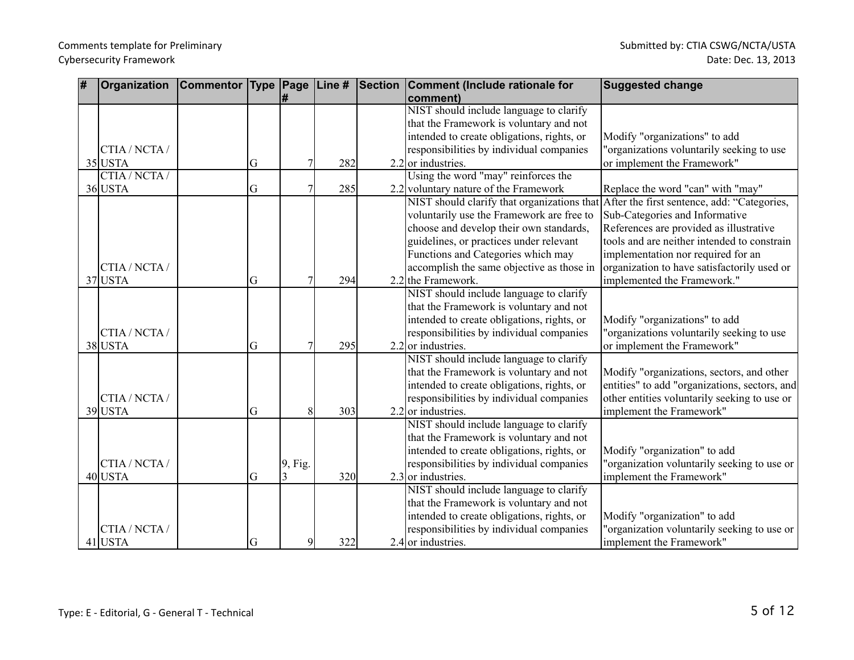| # | Organization  | Commentor Type Page |   |         |     | Line # Section Comment (Include rationale for | <b>Suggested change</b>                       |
|---|---------------|---------------------|---|---------|-----|-----------------------------------------------|-----------------------------------------------|
|   |               |                     |   | l#      |     | comment)                                      |                                               |
|   |               |                     |   |         |     | NIST should include language to clarify       |                                               |
|   |               |                     |   |         |     | that the Framework is voluntary and not       |                                               |
|   |               |                     |   |         |     | intended to create obligations, rights, or    | Modify "organizations" to add                 |
|   | CTIA / NCTA / |                     |   |         |     | responsibilities by individual companies      | "organizations voluntarily seeking to use     |
|   | $35$ USTA     |                     | G |         | 282 | $2.2$ or industries.                          | or implement the Framework"                   |
|   | CTIA/NCTA/    |                     |   |         |     | Using the word "may" reinforces the           |                                               |
|   | 36 USTA       |                     | G |         | 285 | 2.2 voluntary nature of the Framework         | Replace the word "can" with "may"             |
|   |               |                     |   |         |     | NIST should clarify that organizations that   | After the first sentence, add: "Categories,   |
|   |               |                     |   |         |     | voluntarily use the Framework are free to     | Sub-Categories and Informative                |
|   |               |                     |   |         |     | choose and develop their own standards,       | References are provided as illustrative       |
|   |               |                     |   |         |     | guidelines, or practices under relevant       | tools and are neither intended to constrain   |
|   |               |                     |   |         |     | Functions and Categories which may            | implementation nor required for an            |
|   | CTIA / NCTA / |                     |   |         |     | accomplish the same objective as those in     | organization to have satisfactorily used or   |
|   | 37 USTA       |                     | G |         | 294 | $2.2$ the Framework.                          | implemented the Framework."                   |
|   |               |                     |   |         |     | NIST should include language to clarify       |                                               |
|   |               |                     |   |         |     | that the Framework is voluntary and not       |                                               |
|   |               |                     |   |         |     | intended to create obligations, rights, or    | Modify "organizations" to add                 |
|   | CTIA / NCTA / |                     |   |         |     | responsibilities by individual companies      | "organizations voluntarily seeking to use     |
|   | 38 USTA       |                     | G |         | 295 | $2.2$ or industries.                          | or implement the Framework"                   |
|   |               |                     |   |         |     | NIST should include language to clarify       |                                               |
|   |               |                     |   |         |     | that the Framework is voluntary and not       | Modify "organizations, sectors, and other     |
|   |               |                     |   |         |     | intended to create obligations, rights, or    | entities" to add "organizations, sectors, and |
|   | CTIA / NCTA / |                     |   |         |     | responsibilities by individual companies      | other entities voluntarily seeking to use or  |
|   | 39 USTA       |                     | G | 8       | 303 | $2.2$ or industries.                          | implement the Framework"                      |
|   |               |                     |   |         |     | NIST should include language to clarify       |                                               |
|   |               |                     |   |         |     | that the Framework is voluntary and not       |                                               |
|   |               |                     |   |         |     | intended to create obligations, rights, or    | Modify "organization" to add                  |
|   | CTIA / NCTA / |                     |   | 9, Fig. |     | responsibilities by individual companies      | "organization voluntarily seeking to use or   |
|   | $40$ USTA     |                     | G | 3       | 320 | $2.3$ or industries.                          | implement the Framework"                      |
|   |               |                     |   |         |     | NIST should include language to clarify       |                                               |
|   |               |                     |   |         |     | that the Framework is voluntary and not       |                                               |
|   |               |                     |   |         |     | intended to create obligations, rights, or    | Modify "organization" to add                  |
|   | CTIA / NCTA / |                     |   |         |     | responsibilities by individual companies      | "organization voluntarily seeking to use or   |
|   |               |                     |   |         |     |                                               |                                               |
|   | $41$ USTA     |                     | G | 9       | 322 | 2.4 or industries.                            | implement the Framework"                      |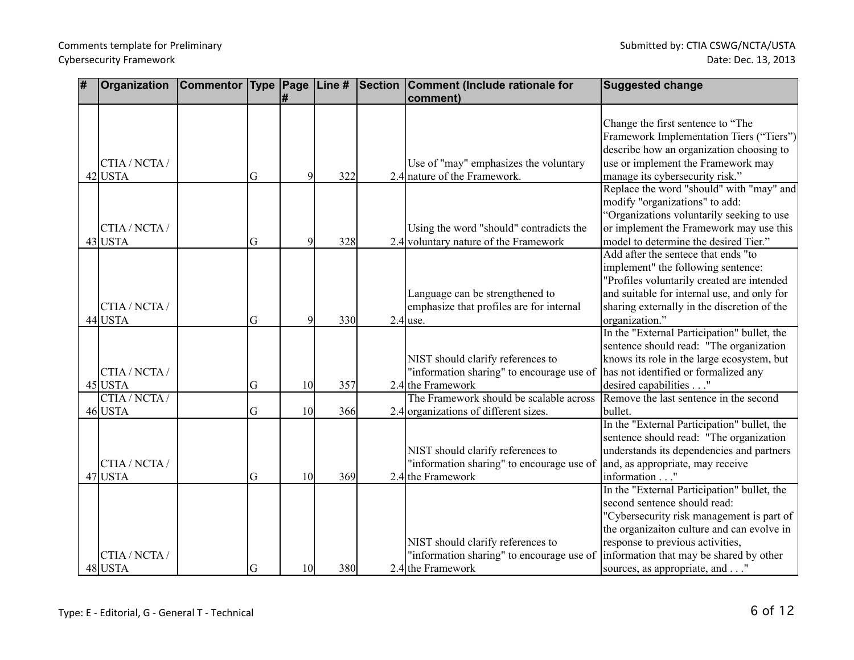| # | Organization  | Commentor Type Page |   |                 |     | Line # Section Comment (Include rationale for | <b>Suggested change</b>                                                          |
|---|---------------|---------------------|---|-----------------|-----|-----------------------------------------------|----------------------------------------------------------------------------------|
|   |               |                     |   | l#              |     | comment)                                      |                                                                                  |
|   |               |                     |   |                 |     |                                               |                                                                                  |
|   |               |                     |   |                 |     |                                               | Change the first sentence to "The                                                |
|   |               |                     |   |                 |     |                                               | Framework Implementation Tiers ("Tiers")                                         |
|   |               |                     |   |                 |     |                                               | describe how an organization choosing to                                         |
|   | CTIA / NCTA / |                     |   |                 |     | Use of "may" emphasizes the voluntary         | use or implement the Framework may                                               |
|   | $42$ USTA     |                     | G | 9               | 322 | 2.4 nature of the Framework.                  | manage its cybersecurity risk."                                                  |
|   |               |                     |   |                 |     |                                               | Replace the word "should" with "may" and                                         |
|   |               |                     |   |                 |     |                                               | modify "organizations" to add:                                                   |
|   |               |                     |   |                 |     |                                               | "Organizations voluntarily seeking to use                                        |
|   | CTIA / NCTA / |                     |   |                 |     | Using the word "should" contradicts the       | or implement the Framework may use this                                          |
|   | 43 USTA       |                     | G | 9               | 328 | 2.4 voluntary nature of the Framework         | model to determine the desired Tier."                                            |
|   |               |                     |   |                 |     |                                               | Add after the sentece that ends "to                                              |
|   |               |                     |   |                 |     |                                               | implement" the following sentence:<br>'Profiles voluntarily created are intended |
|   |               |                     |   |                 |     | Language can be strengthened to               | and suitable for internal use, and only for                                      |
|   | CTIA / NCTA / |                     |   |                 |     | emphasize that profiles are for internal      | sharing externally in the discretion of the                                      |
|   | 44 USTA       |                     | G | $\mathbf{Q}$    | 330 | $2.4$ use.                                    | organization."                                                                   |
|   |               |                     |   |                 |     |                                               | In the "External Participation" bullet, the                                      |
|   |               |                     |   |                 |     |                                               | sentence should read: "The organization                                          |
|   |               |                     |   |                 |     | NIST should clarify references to             | knows its role in the large ecosystem, but                                       |
|   | CTIA / NCTA / |                     |   |                 |     | "information sharing" to encourage use of     | has not identified or formalized any                                             |
|   | $45$ USTA     |                     | G | 10 <sup>1</sup> | 357 | 2.4 the Framework                             | desired capabilities"                                                            |
|   | CTIA / NCTA / |                     |   |                 |     | The Framework should be scalable across       | Remove the last sentence in the second                                           |
|   | 46 USTA       |                     | G | 10              | 366 | 2.4 organizations of different sizes.         | bullet.                                                                          |
|   |               |                     |   |                 |     |                                               | In the "External Participation" bullet, the                                      |
|   |               |                     |   |                 |     |                                               | sentence should read: "The organization                                          |
|   |               |                     |   |                 |     | NIST should clarify references to             | understands its dependencies and partners                                        |
|   | CTIA / NCTA / |                     |   |                 |     | "information sharing" to encourage use of     | and, as appropriate, may receive                                                 |
|   | 47 USTA       |                     | G | 10              | 369 | 2.4 the Framework                             | information"                                                                     |
|   |               |                     |   |                 |     |                                               | In the "External Participation" bullet, the                                      |
|   |               |                     |   |                 |     |                                               | second sentence should read:                                                     |
|   |               |                     |   |                 |     |                                               | 'Cybersecurity risk management is part of                                        |
|   |               |                     |   |                 |     |                                               | the organizaiton culture and can evolve in                                       |
|   |               |                     |   |                 |     | NIST should clarify references to             | response to previous activities,                                                 |
|   | CTIA / NCTA / |                     |   |                 |     | "information sharing" to encourage use of     | information that may be shared by other                                          |
|   | 48 USTA       |                     | G | 10 <sup>1</sup> | 380 | 2.4 the Framework                             | sources, as appropriate, and                                                     |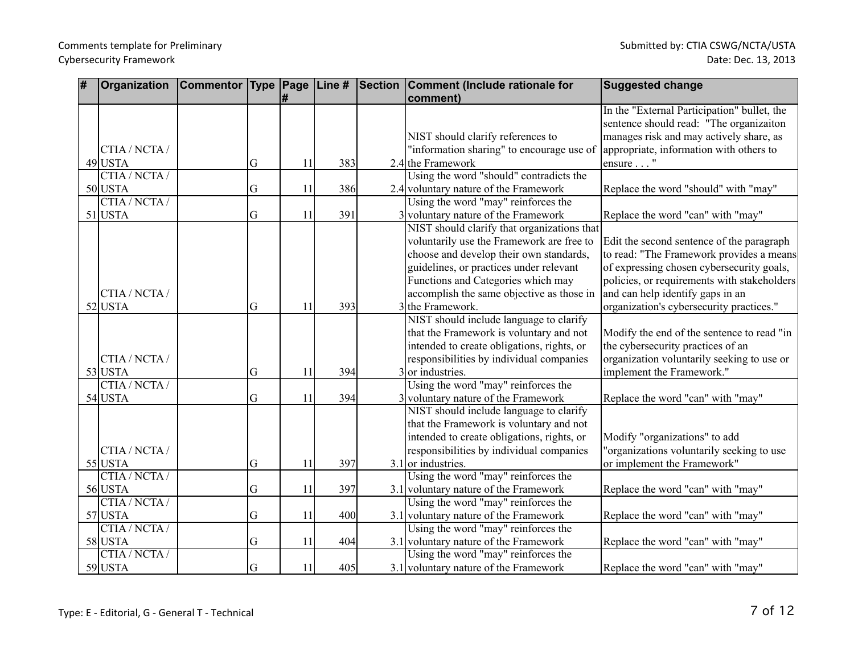| # | Organization  | <b>Commentor Type Page</b> |   |    |     | Line # Section Comment (Include rationale for | <b>Suggested change</b>                     |
|---|---------------|----------------------------|---|----|-----|-----------------------------------------------|---------------------------------------------|
|   |               |                            |   | l# |     | comment)                                      |                                             |
|   |               |                            |   |    |     |                                               | In the "External Participation" bullet, the |
|   |               |                            |   |    |     |                                               | sentence should read: "The organizaiton     |
|   |               |                            |   |    |     | NIST should clarify references to             | manages risk and may actively share, as     |
|   | CTIA / NCTA / |                            |   |    |     | "information sharing" to encourage use of     | appropriate, information with others to     |
|   | 49 USTA       |                            | G | 11 | 383 | 2.4 the Framework                             | ensure "                                    |
|   | CTIA/NCTA/    |                            |   |    |     | Using the word "should" contradicts the       |                                             |
|   | $50$ USTA     |                            | G | 11 | 386 | 2.4 voluntary nature of the Framework         | Replace the word "should" with "may"        |
|   | CTIA/NCTA/    |                            |   |    |     | Using the word "may" reinforces the           |                                             |
|   | $51$ USTA     |                            | G | 11 | 391 | 3 voluntary nature of the Framework           | Replace the word "can" with "may"           |
|   |               |                            |   |    |     | NIST should clarify that organizations that   |                                             |
|   |               |                            |   |    |     | voluntarily use the Framework are free to     | Edit the second sentence of the paragraph   |
|   |               |                            |   |    |     | choose and develop their own standards,       | to read: "The Framework provides a means    |
|   |               |                            |   |    |     | guidelines, or practices under relevant       | of expressing chosen cybersecurity goals,   |
|   |               |                            |   |    |     | Functions and Categories which may            | policies, or requirements with stakeholders |
|   | CTIA / NCTA / |                            |   |    |     | accomplish the same objective as those in     | and can help identify gaps in an            |
|   | $52$ USTA     |                            | G | 11 | 393 | 3 the Framework.                              | organization's cybersecurity practices."    |
|   |               |                            |   |    |     | NIST should include language to clarify       |                                             |
|   |               |                            |   |    |     | that the Framework is voluntary and not       | Modify the end of the sentence to read "in  |
|   |               |                            |   |    |     | intended to create obligations, rights, or    | the cybersecurity practices of an           |
|   | CTIA / NCTA / |                            |   |    |     | responsibilities by individual companies      | organization voluntarily seeking to use or  |
|   | $53$ USTA     |                            | G | 11 | 394 | $3$ or industries.                            | implement the Framework."                   |
|   | CTIA/NCTA/    |                            |   |    |     | Using the word "may" reinforces the           |                                             |
|   | 54 USTA       |                            | G | 11 | 394 | 3 voluntary nature of the Framework           | Replace the word "can" with "may"           |
|   |               |                            |   |    |     | NIST should include language to clarify       |                                             |
|   |               |                            |   |    |     | that the Framework is voluntary and not       |                                             |
|   |               |                            |   |    |     | intended to create obligations, rights, or    | Modify "organizations" to add               |
|   | CTIA / NCTA / |                            |   |    |     | responsibilities by individual companies      | "organizations voluntarily seeking to use   |
|   | 55 USTA       |                            | G | 11 | 397 | $3.1$ or industries.                          | or implement the Framework"                 |
|   | CTIA/NCTA/    |                            |   |    |     | Using the word "may" reinforces the           |                                             |
|   | 56 USTA       |                            | G | 11 | 397 | 3.1 voluntary nature of the Framework         | Replace the word "can" with "may"           |
|   | CTIA/NCTA/    |                            |   |    |     | Using the word "may" reinforces the           |                                             |
|   | 57 USTA       |                            | G | 11 | 400 | 3.1 voluntary nature of the Framework         | Replace the word "can" with "may"           |
|   | CTIA / NCTA / |                            |   |    |     | Using the word "may" reinforces the           |                                             |
|   | 58 USTA       |                            | G | 11 | 404 | 3.1 voluntary nature of the Framework         | Replace the word "can" with "may"           |
|   | CTIA / NCTA / |                            |   |    |     | Using the word "may" reinforces the           |                                             |
|   | 59 USTA       |                            | G | 11 | 405 | 3.1 voluntary nature of the Framework         | Replace the word "can" with "may"           |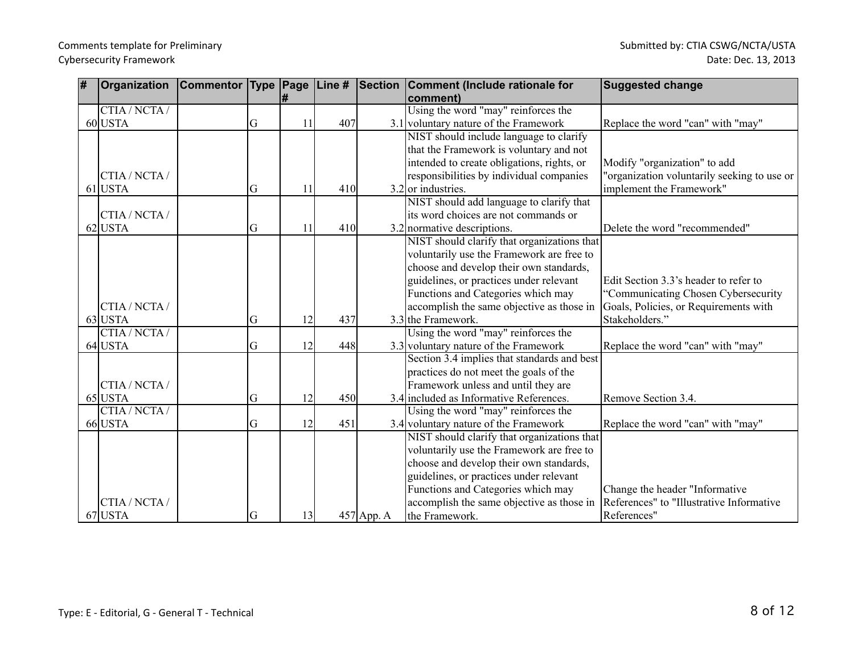| # | Organization  |   |    |     |              | Commentor   Type   Page   Line #   Section   Comment (Include rationale for | <b>Suggested change</b>                     |
|---|---------------|---|----|-----|--------------|-----------------------------------------------------------------------------|---------------------------------------------|
|   |               |   | ∦  |     |              | comment)                                                                    |                                             |
|   | CTIA/NCTA/    |   |    |     |              | Using the word "may" reinforces the                                         |                                             |
|   | 60 USTA       | G | 11 | 407 |              | 3.1 voluntary nature of the Framework                                       | Replace the word "can" with "may"           |
|   |               |   |    |     |              | NIST should include language to clarify                                     |                                             |
|   |               |   |    |     |              | that the Framework is voluntary and not                                     |                                             |
|   |               |   |    |     |              | intended to create obligations, rights, or                                  | Modify "organization" to add                |
|   | CTIA / NCTA / |   |    |     |              | responsibilities by individual companies                                    | "organization voluntarily seeking to use or |
|   | $61$ USTA     | G | 11 | 410 |              | $3.2$ or industries.                                                        | implement the Framework"                    |
|   |               |   |    |     |              | NIST should add language to clarify that                                    |                                             |
|   | CTIA / NCTA / |   |    |     |              | lits word choices are not commands or                                       |                                             |
|   | $62$ USTA     | G | 11 | 410 |              | $3.2$ normative descriptions.                                               | Delete the word "recommended"               |
|   |               |   |    |     |              | NIST should clarify that organizations that                                 |                                             |
|   |               |   |    |     |              | voluntarily use the Framework are free to                                   |                                             |
|   |               |   |    |     |              | choose and develop their own standards,                                     |                                             |
|   |               |   |    |     |              | guidelines, or practices under relevant                                     | Edit Section 3.3's header to refer to       |
|   |               |   |    |     |              | Functions and Categories which may                                          | "Communicating Chosen Cybersecurity         |
|   | CTIA / NCTA / |   |    |     |              | accomplish the same objective as those in                                   | Goals, Policies, or Requirements with       |
|   | 63 USTA       | G | 12 | 437 |              | $3.3$ the Framework.                                                        | Stakeholders."                              |
|   | CTIA / NCTA / |   |    |     |              | Using the word "may" reinforces the                                         |                                             |
|   | 64 USTA       | G | 12 | 448 |              | 3.3 voluntary nature of the Framework                                       | Replace the word "can" with "may"           |
|   |               |   |    |     |              | Section 3.4 implies that standards and best                                 |                                             |
|   |               |   |    |     |              | practices do not meet the goals of the                                      |                                             |
|   | CTIA / NCTA / |   |    |     |              | Framework unless and until they are                                         |                                             |
|   | 65 USTA       | G | 12 | 450 |              | 3.4 included as Informative References.                                     | Remove Section 3.4.                         |
|   | CTIA / NCTA / |   |    |     |              | Using the word "may" reinforces the                                         |                                             |
|   | 66 USTA       | G | 12 | 451 |              | 3.4 voluntary nature of the Framework                                       | Replace the word "can" with "may"           |
|   |               |   |    |     |              | NIST should clarify that organizations that                                 |                                             |
|   |               |   |    |     |              | voluntarily use the Framework are free to                                   |                                             |
|   |               |   |    |     |              | choose and develop their own standards,                                     |                                             |
|   |               |   |    |     |              | guidelines, or practices under relevant                                     |                                             |
|   |               |   |    |     |              | Functions and Categories which may                                          | Change the header "Informative"             |
|   | CTIA / NCTA / |   |    |     |              | accomplish the same objective as those in                                   | References" to "Illustrative Informative    |
|   | 67 USTA       | G | 13 |     | $457$ App. A | the Framework.                                                              | References"                                 |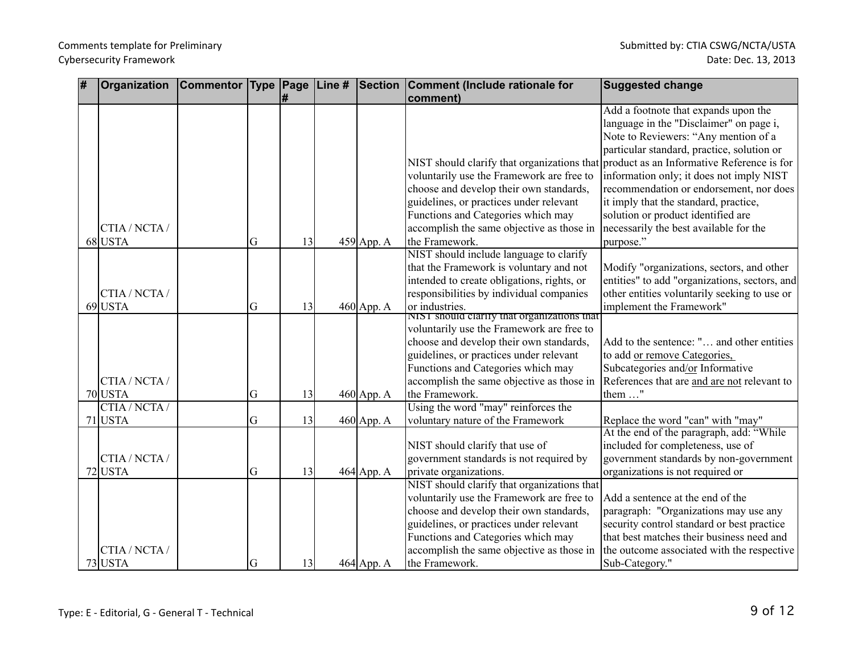| # | Organization  | Commentor Type Page |   |    |              | Line # Section Comment (Include rationale for                                          | <b>Suggested change</b>                                                                       |
|---|---------------|---------------------|---|----|--------------|----------------------------------------------------------------------------------------|-----------------------------------------------------------------------------------------------|
|   |               |                     |   | #  |              | comment)                                                                               |                                                                                               |
|   |               |                     |   |    |              |                                                                                        | Add a footnote that expands upon the                                                          |
|   |               |                     |   |    |              |                                                                                        | language in the "Disclaimer" on page i,                                                       |
|   |               |                     |   |    |              |                                                                                        | Note to Reviewers: "Any mention of a                                                          |
|   |               |                     |   |    |              |                                                                                        | particular standard, practice, solution or                                                    |
|   |               |                     |   |    |              | NIST should clarify that organizations that                                            | product as an Informative Reference is for                                                    |
|   |               |                     |   |    |              | voluntarily use the Framework are free to                                              | information only; it does not imply NIST                                                      |
|   |               |                     |   |    |              | choose and develop their own standards,                                                | recommendation or endorsement, nor does                                                       |
|   |               |                     |   |    |              | guidelines, or practices under relevant                                                | it imply that the standard, practice,                                                         |
|   |               |                     |   |    |              | Functions and Categories which may                                                     | solution or product identified are                                                            |
|   | CTIA / NCTA / |                     |   |    |              | accomplish the same objective as those in                                              | necessarily the best available for the                                                        |
|   | 68 USTA       |                     | G | 13 | 459 App. A   | the Framework.                                                                         | purpose."                                                                                     |
|   |               |                     |   |    |              | NIST should include language to clarify                                                |                                                                                               |
|   |               |                     |   |    |              | that the Framework is voluntary and not                                                | Modify "organizations, sectors, and other                                                     |
|   | CTIA / NCTA / |                     |   |    |              | intended to create obligations, rights, or<br>responsibilities by individual companies | entities" to add "organizations, sectors, and<br>other entities voluntarily seeking to use or |
|   | 69 USTA       |                     | G | 13 |              | or industries.                                                                         | implement the Framework"                                                                      |
|   |               |                     |   |    | $460$ App. A | NIST should clarify that organizations that                                            |                                                                                               |
|   |               |                     |   |    |              | voluntarily use the Framework are free to                                              |                                                                                               |
|   |               |                     |   |    |              | choose and develop their own standards,                                                | Add to the sentence: " and other entities                                                     |
|   |               |                     |   |    |              | guidelines, or practices under relevant                                                | to add or remove Categories,                                                                  |
|   |               |                     |   |    |              | Functions and Categories which may                                                     | Subcategories and/or Informative                                                              |
|   | CTIA / NCTA / |                     |   |    |              | accomplish the same objective as those in                                              | References that are and are not relevant to                                                   |
|   | 70 USTA       |                     | G | 13 | $460$ App. A | the Framework.                                                                         | them "                                                                                        |
|   | CTIA/NCTA/    |                     |   |    |              | Using the word "may" reinforces the                                                    |                                                                                               |
|   | $71$ USTA     |                     | G | 13 | 460 App. A   | voluntary nature of the Framework                                                      | Replace the word "can" with "may"                                                             |
|   |               |                     |   |    |              |                                                                                        | At the end of the paragraph, add: "While                                                      |
|   |               |                     |   |    |              | NIST should clarify that use of                                                        | included for completeness, use of                                                             |
|   | CTIA / NCTA / |                     |   |    |              | government standards is not required by                                                | government standards by non-government                                                        |
|   | 72 USTA       |                     | G | 13 | 464 App. A   | private organizations.<br>NIST should clarify that organizations that                  | organizations is not required or                                                              |
|   |               |                     |   |    |              | voluntarily use the Framework are free to                                              | Add a sentence at the end of the                                                              |
|   |               |                     |   |    |              | choose and develop their own standards,                                                | paragraph: "Organizations may use any                                                         |
|   |               |                     |   |    |              | guidelines, or practices under relevant                                                | security control standard or best practice                                                    |
|   |               |                     |   |    |              | Functions and Categories which may                                                     | that best matches their business need and                                                     |
|   | CTIA / NCTA / |                     |   |    |              | accomplish the same objective as those in                                              | the outcome associated with the respective                                                    |
|   | $73$ USTA     |                     | G | 13 | $464$ App. A | the Framework.                                                                         | Sub-Category."                                                                                |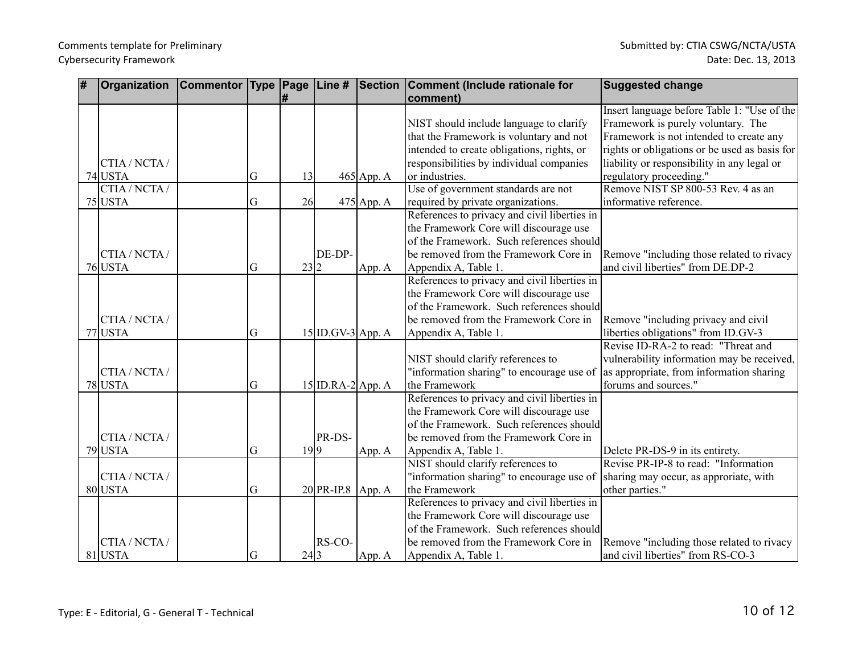| # | Organization  | <b>Commentor Type Page</b> |    |      |                     |            | Line # Section Comment (Include rationale for | <b>Suggested change</b>                       |
|---|---------------|----------------------------|----|------|---------------------|------------|-----------------------------------------------|-----------------------------------------------|
|   |               |                            |    | l#   |                     |            | comment)                                      |                                               |
|   |               |                            |    |      |                     |            |                                               | Insert language before Table 1: "Use of the   |
|   |               |                            |    |      |                     |            | NIST should include language to clarify       | Framework is purely voluntary. The            |
|   |               |                            |    |      |                     |            | that the Framework is voluntary and not       | Framework is not intended to create any       |
|   |               |                            |    |      |                     |            | intended to create obligations, rights, or    | rights or obligations or be used as basis for |
|   | CTIA / NCTA / |                            |    |      |                     |            | responsibilities by individual companies      | liability or responsibility in any legal or   |
|   | 74 USTA       |                            | G  | 13   |                     | 465 App. A | or industries.                                | regulatory proceeding."                       |
|   | CTIA / NCTA / |                            |    |      |                     |            | Use of government standards are not           | Remove NIST SP 800-53 Rev. 4 as an            |
|   | $75$ USTA     |                            | G  | 26   |                     | 475 App. A | required by private organizations.            | informative reference.                        |
|   |               |                            |    |      |                     |            | References to privacy and civil liberties in  |                                               |
|   |               |                            |    |      |                     |            | the Framework Core will discourage use        |                                               |
|   |               |                            |    |      |                     |            | of the Framework. Such references should      |                                               |
|   | CTIA / NCTA / |                            |    |      | DE-DP-              |            | be removed from the Framework Core in         | Remove "including those related to rivacy"    |
|   | $76$ USTA     |                            | G  | 23 2 |                     | App. A     | Appendix A, Table 1.                          | and civil liberties" from DE.DP-2             |
|   |               |                            |    |      |                     |            | References to privacy and civil liberties in  |                                               |
|   |               |                            |    |      |                     |            | the Framework Core will discourage use        |                                               |
|   |               |                            |    |      |                     |            | of the Framework. Such references should      |                                               |
|   | CTIA / NCTA / |                            |    |      |                     |            | be removed from the Framework Core in         | Remove "including privacy and civil           |
|   | 77 USTA       |                            | G  |      | $15 ID.GV-3 App. A$ |            | Appendix A, Table 1.                          | liberties obligations" from ID.GV-3           |
|   |               |                            |    |      |                     |            |                                               | Revise ID-RA-2 to read: "Threat and           |
|   |               |                            |    |      |                     |            | NIST should clarify references to             | vulnerability information may be received,    |
|   | CTIA / NCTA / |                            |    |      |                     |            | "information sharing" to encourage use of     | as appropriate, from information sharing      |
|   | 78 USTA       |                            | G  |      | $15$ ID.RA-2 App. A |            | the Framework                                 | forums and sources."                          |
|   |               |                            |    |      |                     |            | References to privacy and civil liberties in  |                                               |
|   |               |                            |    |      |                     |            | the Framework Core will discourage use        |                                               |
|   |               |                            |    |      |                     |            | of the Framework. Such references should      |                                               |
|   | CTIA / NCTA / |                            |    |      | PR-DS-              |            | be removed from the Framework Core in         |                                               |
|   | 79 USTA       |                            | G  | 19 9 |                     | App. A     | Appendix A, Table 1.                          | Delete PR-DS-9 in its entirety.               |
|   |               |                            |    |      |                     |            | NIST should clarify references to             | Revise PR-IP-8 to read: "Information          |
|   | CTIA / NCTA / |                            |    |      |                     |            | 'information sharing" to encourage use of     | sharing may occur, as approriate, with        |
|   | 80 USTA       |                            | G  |      | 20 PR-IP.8 App. A   |            | the Framework                                 | other parties."                               |
|   |               |                            |    |      |                     |            | References to privacy and civil liberties in  |                                               |
|   |               |                            |    |      |                     |            | the Framework Core will discourage use        |                                               |
|   |               |                            |    |      |                     |            | of the Framework. Such references should      |                                               |
|   | CTIA / NCTA / |                            |    |      | RS-CO-              |            | be removed from the Framework Core in         | Remove "including those related to rivacy     |
|   | $81$ USTA     |                            | lG | 24 3 |                     | App. A     | Appendix A, Table 1.                          | and civil liberties" from RS-CO-3             |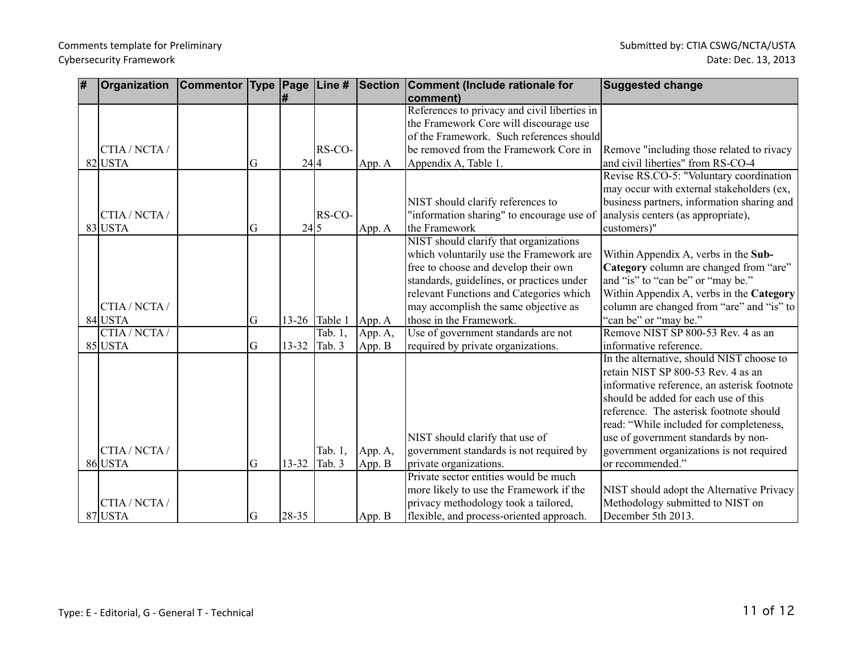| # | Organization  | <b>Commentor Type Page</b> |                |           | $\vert$ Line # | Section | Comment (Include rationale for<br>comment)   | <b>Suggested change</b>                     |
|---|---------------|----------------------------|----------------|-----------|----------------|---------|----------------------------------------------|---------------------------------------------|
|   |               |                            |                |           |                |         | References to privacy and civil liberties in |                                             |
|   |               |                            |                |           |                |         | the Framework Core will discourage use       |                                             |
|   |               |                            |                |           |                |         | of the Framework. Such references should     |                                             |
|   | CTIA / NCTA / |                            |                |           | RS-CO-         |         | be removed from the Framework Core in        | Remove "including those related to rivacy   |
|   | 82 USTA       |                            | lG             | 24 4      |                | App. A  | Appendix A, Table 1.                         | and civil liberties" from RS-CO-4           |
|   |               |                            |                |           |                |         |                                              | Revise RS.CO-5: "Voluntary coordination     |
|   |               |                            |                |           |                |         |                                              | may occur with external stakeholders (ex,   |
|   |               |                            |                |           |                |         | NIST should clarify references to            | business partners, information sharing and  |
|   | CTIA/NCTA/    |                            |                |           | RS-CO-         |         | "information sharing" to encourage use of    | analysis centers (as appropriate),          |
|   | 83 USTA       |                            | <sub>I</sub> G | 24 5      |                | App. A  | the Framework                                | customers)"                                 |
|   |               |                            |                |           |                |         | NIST should clarify that organizations       |                                             |
|   |               |                            |                |           |                |         | which voluntarily use the Framework are      | Within Appendix A, verbs in the Sub-        |
|   |               |                            |                |           |                |         | free to choose and develop their own         | Category column are changed from "are"      |
|   |               |                            |                |           |                |         | standards, guidelines, or practices under    | and "is" to "can be" or "may be."           |
|   |               |                            |                |           |                |         | relevant Functions and Categories which      | Within Appendix A, verbs in the Category    |
|   | CTIA / NCTA / |                            |                |           |                |         | may accomplish the same objective as         | column are changed from "are" and "is" to   |
|   | 84 USTA       |                            | G              | $13 - 26$ | Table 1        | App. A  | those in the Framework.                      | "can be" or "may be."                       |
|   | CTIA / NCTA / |                            |                |           | Tab. 1,        | App. A, | Use of government standards are not          | Remove NIST SP 800-53 Rev. 4 as an          |
|   | $85$ USTA     |                            | G              | 13-32     | Tab. 3         | App. B  | required by private organizations.           | informative reference.                      |
|   |               |                            |                |           |                |         |                                              | In the alternative, should NIST choose to   |
|   |               |                            |                |           |                |         |                                              | retain NIST SP 800-53 Rev. 4 as an          |
|   |               |                            |                |           |                |         |                                              | informative reference, an asterisk footnote |
|   |               |                            |                |           |                |         |                                              | should be added for each use of this        |
|   |               |                            |                |           |                |         |                                              | reference. The asterisk footnote should     |
|   |               |                            |                |           |                |         |                                              | read: "While included for completeness,     |
|   |               |                            |                |           |                |         | NIST should clarify that use of              | use of government standards by non-         |
|   | CTIA/NCTA/    |                            |                |           | Tab. 1,        | App. A, | government standards is not required by      | government organizations is not required    |
|   | 86 USTA       |                            | <sub>I</sub> G | 13-32     | Tab. 3         | App. B  | private organizations.                       | or recommended."                            |
|   |               |                            |                |           |                |         | Private sector entities would be much        |                                             |
|   |               |                            |                |           |                |         | more likely to use the Framework if the      | NIST should adopt the Alternative Privacy   |
|   | CTIA / NCTA / |                            |                |           |                |         | privacy methodology took a tailored,         | Methodology submitted to NIST on            |
|   | 87 USTA       |                            | G              | $ 28-35 $ |                | App. B  | flexible, and process-oriented approach.     | December 5th 2013.                          |